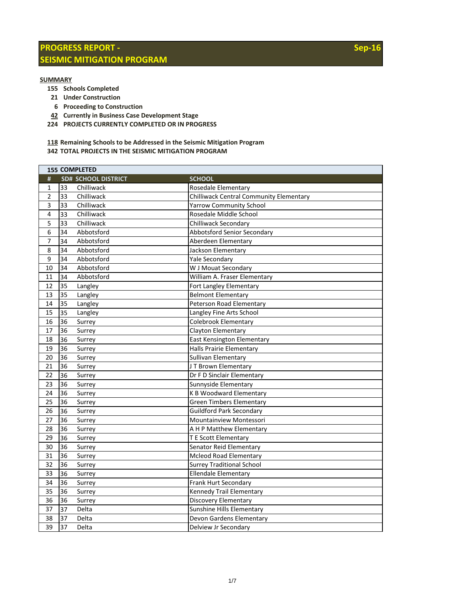## **PROGRESS REPORT - SEISMIC MITIGATION PROGRAM**

## **SUMMARY**

- **155 Schools Completed**
- **21 Under Construction**
- **6 Proceeding to Construction**
- **42 Currently in Business Case Development Stage**
- **224 PROJECTS CURRENTLY COMPLETED OR IN PROGRESS**
- **Remaining Schools to be Addressed in the Seismic Mitigation Program**
- **TOTAL PROJECTS IN THE SEISMIC MITIGATION PROGRAM**

|                  | <b>155 COMPLETED</b> |                            |                                                |  |
|------------------|----------------------|----------------------------|------------------------------------------------|--|
| #                |                      | <b>SD# SCHOOL DISTRICT</b> | <b>SCHOOL</b>                                  |  |
| $\mathbf{1}$     | 33                   | Chilliwack                 | Rosedale Elementary                            |  |
| 2                | 33                   | Chilliwack                 | <b>Chilliwack Central Community Elementary</b> |  |
| $\overline{3}$   | 33                   | Chilliwack                 | <b>Yarrow Community School</b>                 |  |
| 4                | 33                   | Chilliwack                 | Rosedale Middle School                         |  |
| 5                | 33                   | Chilliwack                 | Chilliwack Secondary                           |  |
| 6                | 34                   | Abbotsford                 | Abbotsford Senior Secondary                    |  |
| 7                | 34                   | Abbotsford                 | Aberdeen Elementary                            |  |
| 8                | 34                   | Abbotsford                 | Jackson Elementary                             |  |
| $\boldsymbol{9}$ | 34                   | Abbotsford                 | Yale Secondary                                 |  |
| 10               | 34                   | Abbotsford                 | W J Mouat Secondary                            |  |
| 11               | 34                   | Abbotsford                 | William A. Fraser Elementary                   |  |
| 12               | 35                   | Langley                    | Fort Langley Elementary                        |  |
| 13               | 35                   | Langley                    | <b>Belmont Elementary</b>                      |  |
| 14               | 35                   | Langley                    | Peterson Road Elementary                       |  |
| 15               | 35                   | Langley                    | Langley Fine Arts School                       |  |
| 16               | 36                   | Surrey                     | <b>Colebrook Elementary</b>                    |  |
| 17               | 36                   | Surrey                     | Clayton Elementary                             |  |
| 18               | 36                   | Surrey                     | East Kensington Elementary                     |  |
| 19               | 36                   | Surrey                     | Halls Prairie Elementary                       |  |
| 20               | 36                   | Surrey                     | Sullivan Elementary                            |  |
| 21               | 36                   | Surrey                     | JT Brown Elementary                            |  |
| 22               | 36                   | Surrey                     | Dr F D Sinclair Elementary                     |  |
| 23               | 36                   | Surrey                     | Sunnyside Elementary                           |  |
| 24               | 36                   | Surrey                     | <b>K B Woodward Elementary</b>                 |  |
| 25               | 36                   | Surrey                     | <b>Green Timbers Elementary</b>                |  |
| 26               | 36                   | Surrey                     | <b>Guildford Park Secondary</b>                |  |
| 27               | 36                   | Surrey                     | Mountainview Montessori                        |  |
| 28               | 36                   | Surrey                     | A H P Matthew Elementary                       |  |
| 29               | 36                   | Surrey                     | <b>T E Scott Elementary</b>                    |  |
| 30               | 36                   | Surrey                     | Senator Reid Elementary                        |  |
| 31               | 36                   | Surrey                     | <b>Mcleod Road Elementary</b>                  |  |
| 32               | 36                   | Surrey                     | <b>Surrey Traditional School</b>               |  |
| 33               | 36                   | Surrey                     | <b>Ellendale Elementary</b>                    |  |
| 34               | 36                   | Surrey                     | Frank Hurt Secondary                           |  |
| 35               | 36                   | Surrey                     | Kennedy Trail Elementary                       |  |
| 36               | 36                   | Surrey                     | Discovery Elementary                           |  |
| 37               | 37                   | Delta                      | Sunshine Hills Elementary                      |  |
| 38               | 37                   | Delta                      | Devon Gardens Elementary                       |  |
| 39               | 37                   | Delta                      | Delview Jr Secondary                           |  |

**Sep-16**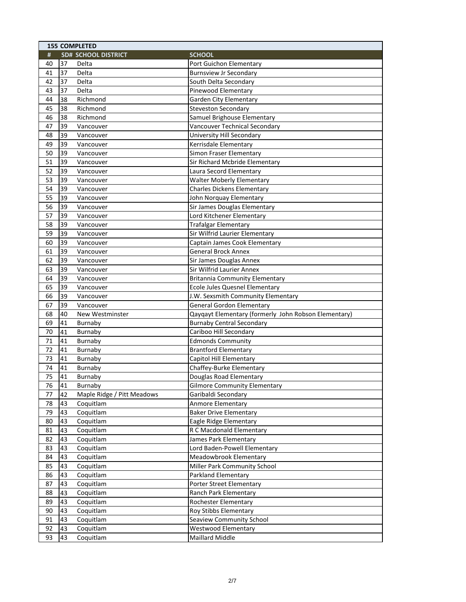|    | <b>155 COMPLETED</b> |                            |                                                      |  |
|----|----------------------|----------------------------|------------------------------------------------------|--|
| #  |                      | <b>SD# SCHOOL DISTRICT</b> | <b>SCHOOL</b>                                        |  |
| 40 | 37                   | Delta                      | Port Guichon Elementary                              |  |
| 41 | 37                   | Delta                      | <b>Burnsview Jr Secondary</b>                        |  |
| 42 | 37                   | Delta                      | South Delta Secondary                                |  |
| 43 | 37                   | Delta                      | Pinewood Elementary                                  |  |
| 44 | 38                   | Richmond                   | <b>Garden City Elementary</b>                        |  |
| 45 | 38                   | Richmond                   | <b>Steveston Secondary</b>                           |  |
| 46 | 38                   | Richmond                   | Samuel Brighouse Elementary                          |  |
| 47 | 39                   | Vancouver                  | Vancouver Technical Secondary                        |  |
| 48 | 39                   | Vancouver                  | University Hill Secondary                            |  |
| 49 | 39                   | Vancouver                  | Kerrisdale Elementary                                |  |
| 50 | 39                   | Vancouver                  | Simon Fraser Elementary                              |  |
| 51 | 39                   | Vancouver                  | Sir Richard Mcbride Elementary                       |  |
| 52 | 39                   | Vancouver                  | Laura Secord Elementary                              |  |
| 53 | 39                   | Vancouver                  | <b>Walter Moberly Elementary</b>                     |  |
| 54 | 39                   | Vancouver                  | <b>Charles Dickens Elementary</b>                    |  |
| 55 | 39                   | Vancouver                  | John Norquay Elementary                              |  |
| 56 | 39                   | Vancouver                  | Sir James Douglas Elementary                         |  |
| 57 | 39                   | Vancouver                  | Lord Kitchener Elementary                            |  |
| 58 | 39                   | Vancouver                  | <b>Trafalgar Elementary</b>                          |  |
| 59 | 39                   | Vancouver                  | Sir Wilfrid Laurier Elementary                       |  |
| 60 | 39                   | Vancouver                  | Captain James Cook Elementary                        |  |
| 61 | 39                   | Vancouver                  | <b>General Brock Annex</b>                           |  |
| 62 | 39                   | Vancouver                  | Sir James Douglas Annex                              |  |
| 63 | 39                   | Vancouver                  | Sir Wilfrid Laurier Annex                            |  |
| 64 | 39                   | Vancouver                  | <b>Britannia Community Elementary</b>                |  |
| 65 | 39                   | Vancouver                  | Ecole Jules Quesnel Elementary                       |  |
| 66 | 39                   | Vancouver                  | J.W. Sexsmith Community Elementary                   |  |
| 67 | 39                   | Vancouver                  | <b>General Gordon Elementary</b>                     |  |
| 68 | 40                   | New Westminster            | Qayqayt Elementary (formerly John Robson Elementary) |  |
| 69 | 41                   | Burnaby                    | <b>Burnaby Central Secondary</b>                     |  |
| 70 | 41                   | Burnaby                    | Cariboo Hill Secondary                               |  |
| 71 | 41                   | Burnaby                    | <b>Edmonds Community</b>                             |  |
| 72 | 41                   | Burnaby                    | <b>Brantford Elementary</b>                          |  |
| 73 | 41                   | Burnaby                    | Capitol Hill Elementary                              |  |
| 74 | 41                   | Burnaby                    | Chaffey-Burke Elementary                             |  |
| 75 | 41                   | Burnaby                    | Douglas Road Elementary                              |  |
| 76 | 41                   | Burnaby                    | <b>Gilmore Community Elementary</b>                  |  |
| 77 | 42                   | Maple Ridge / Pitt Meadows | Garibaldi Secondary                                  |  |
| 78 | 43                   | Coquitlam                  | Anmore Elementary                                    |  |
| 79 | 43                   | Coquitlam                  | <b>Baker Drive Elementary</b>                        |  |
| 80 | 43                   | Coquitlam                  | Eagle Ridge Elementary                               |  |
| 81 | 43                   | Coquitlam                  | R C Macdonald Elementary                             |  |
| 82 | 43                   | Coquitlam                  | James Park Elementary                                |  |
| 83 | 43                   | Coquitlam                  | Lord Baden-Powell Elementary                         |  |
| 84 | 43                   | Coquitlam                  | Meadowbrook Elementary                               |  |
| 85 | 43                   | Coquitlam                  | Miller Park Community School                         |  |
| 86 | 43                   | Coquitlam                  | Parkland Elementary                                  |  |
| 87 | 43                   | Coquitlam                  | Porter Street Elementary                             |  |
| 88 | 43                   | Coquitlam                  | Ranch Park Elementary                                |  |
| 89 | 43                   | Coquitlam                  | Rochester Elementary                                 |  |
| 90 | 43                   | Coquitlam                  | Roy Stibbs Elementary                                |  |
| 91 | 43                   | Coquitlam                  | Seaview Community School                             |  |
| 92 | 43                   | Coquitlam                  | <b>Westwood Elementary</b>                           |  |
| 93 | 43                   | Coquitlam                  | Maillard Middle                                      |  |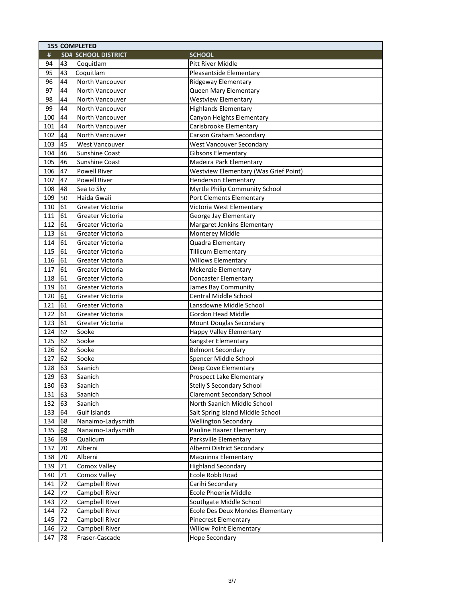|     | <b>155 COMPLETED</b> |                            |                                                                  |  |
|-----|----------------------|----------------------------|------------------------------------------------------------------|--|
| #   |                      | <b>SD# SCHOOL DISTRICT</b> | <b>SCHOOL</b>                                                    |  |
| 94  | 43                   | Coquitlam                  | <b>Pitt River Middle</b>                                         |  |
| 95  | 43                   | Coquitlam                  | Pleasantside Elementary                                          |  |
| 96  | 44                   | North Vancouver            | Ridgeway Elementary                                              |  |
| 97  | 44                   | North Vancouver            | Queen Mary Elementary                                            |  |
| 98  | 44                   | North Vancouver            | <b>Westview Elementary</b>                                       |  |
| 99  | 44                   | North Vancouver            | <b>Highlands Elementary</b>                                      |  |
| 100 | 44                   | North Vancouver            | Canyon Heights Elementary                                        |  |
| 101 | 44                   | North Vancouver            | Carisbrooke Elementary                                           |  |
| 102 | 44                   | North Vancouver            | Carson Graham Secondary                                          |  |
| 103 | 45                   | <b>West Vancouver</b>      | <b>West Vancouver Secondary</b>                                  |  |
| 104 | 46                   | Sunshine Coast             | <b>Gibsons Elementary</b>                                        |  |
| 105 | 46                   | Sunshine Coast             | Madeira Park Elementary                                          |  |
| 106 | 47                   | <b>Powell River</b>        | <b>Westview Elementary (Was Grief Point)</b>                     |  |
| 107 | 47                   | Powell River               | <b>Henderson Elementary</b>                                      |  |
| 108 | 48                   | Sea to Sky                 | Myrtle Philip Community School                                   |  |
| 109 | 50                   | Haida Gwaii                | <b>Port Clements Elementary</b>                                  |  |
| 110 | 61                   | Greater Victoria           | Victoria West Elementary                                         |  |
| 111 | 61                   | Greater Victoria           | George Jay Elementary                                            |  |
| 112 | 61                   | Greater Victoria           | Margaret Jenkins Elementary                                      |  |
| 113 | 61                   | Greater Victoria           | Monterey Middle                                                  |  |
| 114 | 61                   | Greater Victoria           | Quadra Elementary                                                |  |
| 115 | 61                   | Greater Victoria           | <b>Tillicum Elementary</b>                                       |  |
| 116 | 61                   | Greater Victoria           | <b>Willows Elementary</b>                                        |  |
| 117 | 61                   | Greater Victoria           | Mckenzie Elementary                                              |  |
| 118 | 61                   | Greater Victoria           | <b>Doncaster Elementary</b>                                      |  |
| 119 | 61                   | Greater Victoria           | James Bay Community                                              |  |
| 120 | 61                   | Greater Victoria           | Central Middle School                                            |  |
| 121 | 61                   | Greater Victoria           | Lansdowne Middle School                                          |  |
| 122 | 61                   | Greater Victoria           | <b>Gordon Head Middle</b>                                        |  |
| 123 | 61                   | Greater Victoria           | Mount Douglas Secondary                                          |  |
| 124 | 62                   | Sooke                      | <b>Happy Valley Elementary</b>                                   |  |
| 125 | 62                   | Sooke                      | Sangster Elementary                                              |  |
| 126 | 62                   | Sooke                      | <b>Belmont Secondary</b>                                         |  |
| 127 | 62                   | Sooke                      | Spencer Middle School                                            |  |
| 128 | 63                   | Saanich                    | Deep Cove Elementary                                             |  |
| 129 | 63                   | Saanich                    | Prospect Lake Elementary                                         |  |
|     |                      |                            |                                                                  |  |
| 130 | 63                   | Saanich                    | <b>Stelly'S Secondary School</b>                                 |  |
| 131 | 63                   | Saanich                    | <b>Claremont Secondary School</b><br>North Saanich Middle School |  |
| 132 | 63                   | Saanich                    |                                                                  |  |
| 133 | 64                   | Gulf Islands               | Salt Spring Island Middle School                                 |  |
| 134 | 68                   | Nanaimo-Ladysmith          | <b>Wellington Secondary</b>                                      |  |
| 135 | 68                   | Nanaimo-Ladysmith          | Pauline Haarer Elementary                                        |  |
| 136 | 69                   | Qualicum                   | Parksville Elementary                                            |  |
| 137 | 70                   | Alberni                    | Alberni District Secondary                                       |  |
| 138 | 70                   | Alberni                    | Maquinna Elementary                                              |  |
| 139 | 71                   | Comox Valley               | <b>Highland Secondary</b>                                        |  |
| 140 | 71                   | Comox Valley               | Ecole Robb Road                                                  |  |
| 141 | 72                   | Campbell River             | Carihi Secondary                                                 |  |
| 142 | 72                   | Campbell River             | Ecole Phoenix Middle                                             |  |
| 143 | 72                   | Campbell River             | Southgate Middle School                                          |  |
| 144 | 72                   | Campbell River             | Ecole Des Deux Mondes Elementary                                 |  |
| 145 | 72                   | Campbell River             | <b>Pinecrest Elementary</b>                                      |  |
| 146 | 72                   | Campbell River             | <b>Willow Point Elementary</b>                                   |  |
| 147 | 78                   | Fraser-Cascade             | <b>Hope Secondary</b>                                            |  |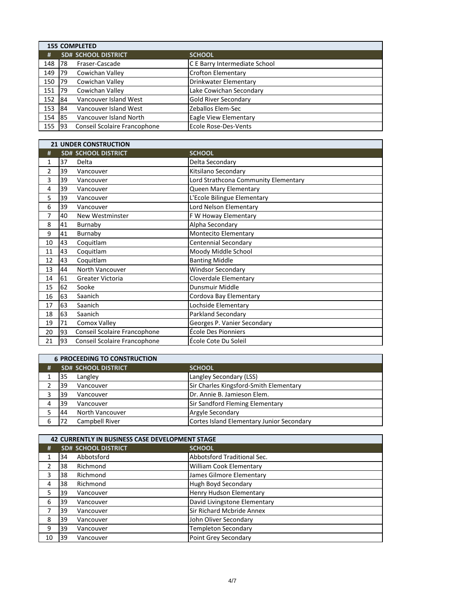|        | <b>155 COMPLETED</b> |                              |                               |  |
|--------|----------------------|------------------------------|-------------------------------|--|
| #      |                      | <b>SD# SCHOOL DISTRICT</b>   | <b>SCHOOL</b>                 |  |
| 148    | 78                   | Fraser-Cascade               | C E Barry Intermediate School |  |
| 149    | 79                   | Cowichan Valley              | <b>Crofton Elementary</b>     |  |
| 150    | 79                   | Cowichan Valley              | Drinkwater Elementary         |  |
| 151    | 79                   | Cowichan Valley              | Lake Cowichan Secondary       |  |
| 152    | <b>84</b>            | Vancouver Island West        | <b>Gold River Secondary</b>   |  |
| 153    | <b>84</b>            | Vancouver Island West        | Zeballos Elem-Sec             |  |
| 154 85 |                      | Vancouver Island North       | Eagle View Elementary         |  |
| 155    | <b>93</b>            | Conseil Scolaire Francophone | Ecole Rose-Des-Vents          |  |

|                |    | <b>21 UNDER CONSTRUCTION</b> |                                      |
|----------------|----|------------------------------|--------------------------------------|
| #              |    | <b>SD# SCHOOL DISTRICT</b>   | <b>SCHOOL</b>                        |
| 1              | 37 | Delta                        | Delta Secondary                      |
| $\overline{2}$ | 39 | Vancouver                    | Kitsilano Secondary                  |
| 3              | 39 | Vancouver                    | Lord Strathcona Community Elementary |
| 4              | 39 | Vancouver                    | Queen Mary Elementary                |
| 5              | 39 | Vancouver                    | L'Ecole Bilingue Elementary          |
| 6              | 39 | Vancouver                    | Lord Nelson Elementary               |
| 7              | 40 | New Westminster              | F W Howay Elementary                 |
| 8              | 41 | Burnaby                      | Alpha Secondary                      |
| 9              | 41 | Burnaby                      | Montecito Elementary                 |
| 10             | 43 | Coquitlam                    | Centennial Secondary                 |
| 11             | 43 | Coquitlam                    | Moody Middle School                  |
| 12             | 43 | Coquitlam                    | <b>Banting Middle</b>                |
| 13             | 44 | North Vancouver              | <b>Windsor Secondary</b>             |
| 14             | 61 | Greater Victoria             | Cloverdale Elementary                |
| 15             | 62 | Sooke                        | Dunsmuir Middle                      |
| 16             | 63 | Saanich                      | Cordova Bay Elementary               |
| 17             | 63 | Saanich                      | Lochside Elementary                  |
| 18             | 63 | Saanich                      | Parkland Secondary                   |
| 19             | 71 | Comox Valley                 | Georges P. Vanier Secondary          |
| 20             | 93 | Conseil Scolaire Francophone | École Des Pionniers                  |
| 21             | 93 | Conseil Scolaire Francophone | École Cote Du Soleil                 |

|   | <b>6 PROCEEDING TO CONSTRUCTION</b> |                                           |
|---|-------------------------------------|-------------------------------------------|
| # | <b>SD# SCHOOL DISTRICT</b>          | <b>SCHOOL</b>                             |
|   | Langley<br>35                       | Langley Secondary (LSS)                   |
|   | Vancouver<br>39                     | Sir Charles Kingsford-Smith Elementary    |
|   | 39<br>Vancouver                     | Dr. Annie B. Jamieson Elem.               |
| Λ | Vancouver<br>39                     | <b>Sir Sandford Fleming Elementary</b>    |
|   | North Vancouver<br>44               | Argyle Secondary                          |
| 6 | Campbell River                      | Cortes Island Elementary Junior Secondary |

|    | <b>42 CURRENTLY IN BUSINESS CASE DEVELOPMENT STAGE</b> |                            |                              |
|----|--------------------------------------------------------|----------------------------|------------------------------|
| #  |                                                        | <b>SD# SCHOOL DISTRICT</b> | <b>SCHOOL</b>                |
|    | 34                                                     | Abbotsford                 | Abbotsford Traditional Sec.  |
| 2  | 38                                                     | Richmond                   | William Cook Elementary      |
| 3  | 38                                                     | Richmond                   | James Gilmore Elementary     |
| 4  | 38                                                     | Richmond                   | Hugh Boyd Secondary          |
| 5  | 39                                                     | Vancouver                  | Henry Hudson Elementary      |
| 6  | 39                                                     | Vancouver                  | David Livingstone Elementary |
| 7  | 39                                                     | Vancouver                  | Sir Richard Mcbride Annex    |
| 8  | 39                                                     | Vancouver                  | John Oliver Secondary        |
| 9  | 39                                                     | Vancouver                  | <b>Templeton Secondary</b>   |
| 10 | 39                                                     | Vancouver                  | Point Grey Secondary         |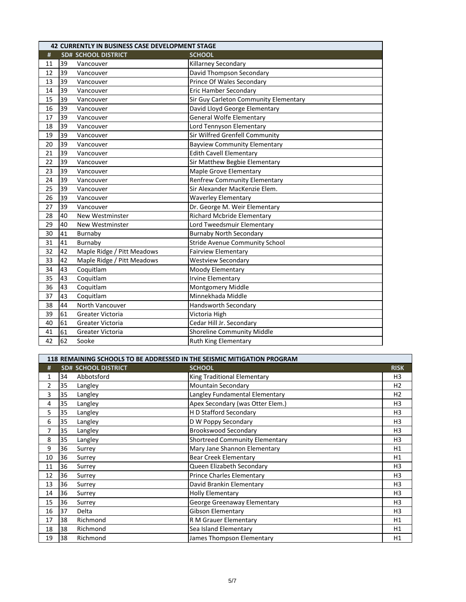|    |    | <b>42 CURRENTLY IN BUSINESS CASE DEVELOPMENT STAGE</b> |                                       |
|----|----|--------------------------------------------------------|---------------------------------------|
| #  |    | <b>SD# SCHOOL DISTRICT</b>                             | <b>SCHOOL</b>                         |
| 11 | 39 | Vancouver                                              | Killarney Secondary                   |
| 12 | 39 | Vancouver                                              | David Thompson Secondary              |
| 13 | 39 | Vancouver                                              | Prince Of Wales Secondary             |
| 14 | 39 | Vancouver                                              | <b>Eric Hamber Secondary</b>          |
| 15 | 39 | Vancouver                                              | Sir Guy Carleton Community Elementary |
| 16 | 39 | Vancouver                                              | David Lloyd George Elementary         |
| 17 | 39 | Vancouver                                              | <b>General Wolfe Elementary</b>       |
| 18 | 39 | Vancouver                                              | Lord Tennyson Elementary              |
| 19 | 39 | Vancouver                                              | Sir Wilfred Grenfell Community        |
| 20 | 39 | Vancouver                                              | <b>Bayview Community Elementary</b>   |
| 21 | 39 | Vancouver                                              | <b>Edith Cavell Elementary</b>        |
| 22 | 39 | Vancouver                                              | Sir Matthew Begbie Elementary         |
| 23 | 39 | Vancouver                                              | Maple Grove Elementary                |
| 24 | 39 | Vancouver                                              | <b>Renfrew Community Elementary</b>   |
| 25 | 39 | Vancouver                                              | Sir Alexander MacKenzie Elem.         |
| 26 | 39 | Vancouver                                              | <b>Waverley Elementary</b>            |
| 27 | 39 | Vancouver                                              | Dr. George M. Weir Elementary         |
| 28 | 40 | New Westminster                                        | <b>Richard Mcbride Elementary</b>     |
| 29 | 40 | New Westminster                                        | Lord Tweedsmuir Elementary            |
| 30 | 41 | Burnaby                                                | <b>Burnaby North Secondary</b>        |
| 31 | 41 | Burnaby                                                | <b>Stride Avenue Community School</b> |
| 32 | 42 | Maple Ridge / Pitt Meadows                             | <b>Fairview Elementary</b>            |
| 33 | 42 | Maple Ridge / Pitt Meadows                             | <b>Westview Secondary</b>             |
| 34 | 43 | Coquitlam                                              | Moody Elementary                      |
| 35 | 43 | Coquitlam                                              | <b>Irvine Elementary</b>              |
| 36 | 43 | Coquitlam                                              | Montgomery Middle                     |
| 37 | 43 | Coquitlam                                              | Minnekhada Middle                     |
| 38 | 44 | North Vancouver                                        | Handsworth Secondary                  |
| 39 | 61 | Greater Victoria                                       | Victoria High                         |
| 40 | 61 | Greater Victoria                                       | Cedar Hill Jr. Secondary              |
| 41 | 61 | Greater Victoria                                       | Shoreline Community Middle            |
| 42 | 62 | Sooke                                                  | <b>Ruth King Elementary</b>           |

|    | 118 REMAINING SCHOOLS TO BE ADDRESSED IN THE SEISMIC MITIGATION PROGRAM |                            |                                  |                |  |
|----|-------------------------------------------------------------------------|----------------------------|----------------------------------|----------------|--|
| #  |                                                                         | <b>SD# SCHOOL DISTRICT</b> | <b>SCHOOL</b>                    | <b>RISK</b>    |  |
| 1  | 34                                                                      | Abbotsford                 | King Traditional Elementary      | H3             |  |
| 2  | 35                                                                      | Langley                    | <b>Mountain Secondary</b>        | H <sub>2</sub> |  |
| 3  | 35                                                                      | Langley                    | Langley Fundamental Elementary   | H <sub>2</sub> |  |
| 4  | 35                                                                      | Langley                    | Apex Secondary (was Otter Elem.) | H <sub>3</sub> |  |
| 5  | 35                                                                      | Langley                    | H D Stafford Secondary           | H <sub>3</sub> |  |
| 6  | 35                                                                      | Langley                    | D W Poppy Secondary              | H <sub>3</sub> |  |
| 7  | 35                                                                      | Langley                    | <b>Brookswood Secondary</b>      | H <sub>3</sub> |  |
| 8  | 35                                                                      | Langley                    | Shortreed Community Elementary   | H <sub>3</sub> |  |
| 9  | 36                                                                      | Surrey                     | Mary Jane Shannon Elementary     | H1             |  |
| 10 | 36                                                                      | Surrey                     | <b>Bear Creek Elementary</b>     | H1             |  |
| 11 | 36                                                                      | Surrey                     | Queen Elizabeth Secondary        | H <sub>3</sub> |  |
| 12 | 36                                                                      | Surrey                     | <b>Prince Charles Elementary</b> | H <sub>3</sub> |  |
| 13 | 36                                                                      | Surrey                     | David Brankin Elementary         | H <sub>3</sub> |  |
| 14 | 36                                                                      | Surrey                     | <b>Holly Elementary</b>          | H <sub>3</sub> |  |
| 15 | 36                                                                      | Surrey                     | George Greenaway Elementary      | H <sub>3</sub> |  |
| 16 | 37                                                                      | Delta                      | Gibson Elementary                | H <sub>3</sub> |  |
| 17 | 38                                                                      | Richmond                   | R M Grauer Elementary            | H1             |  |
| 18 | 38                                                                      | Richmond                   | Sea Island Elementary            | Η1             |  |
| 19 | 38                                                                      | Richmond                   | James Thompson Elementary        | H1             |  |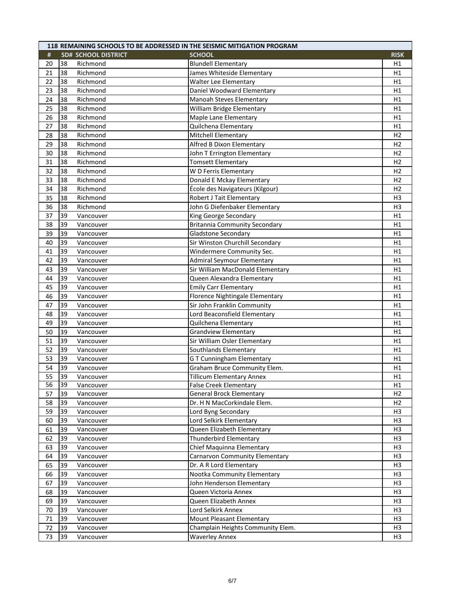| #<br><b>SD# SCHOOL DISTRICT</b><br><b>SCHOOL</b><br><b>RISK</b><br>38<br>20<br>Richmond<br><b>Blundell Elementary</b><br>H1<br>Richmond<br>James Whiteside Elementary<br>38<br>H1<br>21<br>22<br>38<br>Walter Lee Elementary<br>Richmond<br>H1<br>Daniel Woodward Elementary<br>38<br>Richmond<br>23<br>H1<br>38<br>Manoah Steves Elementary<br>24<br>Richmond<br>H1<br>25<br>38<br>Richmond<br>William Bridge Elementary<br>H1<br>Richmond<br>Maple Lane Elementary<br>26<br>38<br>H1<br>38<br>Quilchena Elementary<br>27<br>Richmond<br>H1<br>38<br>Richmond<br>Mitchell Elementary<br>28<br>H <sub>2</sub><br>Richmond<br>Alfred B Dixon Elementary<br>29<br>38<br>H <sub>2</sub><br>30<br>38<br>Richmond<br>John T Errington Elementary<br>H <sub>2</sub><br><b>Tomsett Elementary</b><br>38<br>Richmond<br>31<br>H <sub>2</sub><br>32<br>38<br>Richmond<br>W D Ferris Elementary<br>H <sub>2</sub><br>33<br>Donald E Mckay Elementary<br>38<br>Richmond<br>H <sub>2</sub><br>Richmond<br>École des Navigateurs (Kilgour)<br>H <sub>2</sub><br>34<br>38<br>35<br>Robert J Tait Elementary<br>38<br>Richmond<br>H <sub>3</sub><br>36<br>38<br>Richmond<br>John G Diefenbaker Elementary<br>H <sub>3</sub><br>King George Secondary<br>H1<br>39<br>37<br>Vancouver<br>39<br><b>Britannia Community Secondary</b><br>38<br>H1<br>Vancouver<br>39<br>Gladstone Secondary<br>H1<br>39<br>Vancouver<br>39<br>Sir Winston Churchill Secondary<br>40<br>H1<br>Vancouver<br>39<br>Windermere Community Sec.<br>41<br>H1<br>Vancouver<br>39<br><b>Admiral Seymour Elementary</b><br>H1<br>42<br>Vancouver<br>Sir William MacDonald Elementary<br>39<br>43<br>H1<br>Vancouver<br>39<br>Queen Alexandra Elementary<br>44<br>H1<br>Vancouver<br>39<br><b>Emily Carr Elementary</b><br>H1<br>45<br>Vancouver<br>Florence Nightingale Elementary<br>46<br>39<br>H1<br>Vancouver<br>Sir John Franklin Community<br>39<br>H1<br>47<br>Vancouver<br>Lord Beaconsfield Elementary<br>39<br>48<br>H1<br>Vancouver<br>39<br>Quilchena Elementary<br>49<br>H1<br>Vancouver<br><b>Grandview Elementary</b><br>H1<br>50<br>39<br>Vancouver<br>51<br>39<br>Sir William Osler Elementary<br>H1<br>Vancouver<br>39<br>52<br>Southlands Elementary<br>H1<br>Vancouver<br><b>GT Cunningham Elementary</b><br>39<br>H1<br>53<br>Vancouver<br>39<br>Graham Bruce Community Elem.<br>54<br>Vancouver<br>H1<br>39<br><b>Tillicum Elementary Annex</b><br>55<br>Vancouver<br>H1<br>56<br>39<br>Vancouver<br><b>False Creek Elementary</b><br>H1<br>39<br>57<br><b>General Brock Elementary</b><br>H <sub>2</sub><br>Vancouver<br>Dr. H N MacCorkindale Elem.<br>58<br>39<br>Vancouver<br>H2<br>Lord Byng Secondary<br>59<br>39<br>H <sub>3</sub><br>Vancouver<br>Lord Selkirk Elementary<br>39<br>H <sub>3</sub><br>60<br>Vancouver<br>39<br>H3<br>61<br>Queen Elizabeth Elementary<br>Vancouver<br>39<br><b>Thunderbird Elementary</b><br>H <sub>3</sub><br>62<br>Vancouver<br>Chief Maquinna Elementary<br>H3<br>39<br>63<br>Vancouver<br>39<br><b>Carnarvon Community Elementary</b><br>64<br>H <sub>3</sub><br>Vancouver<br>39<br>Dr. A R Lord Elementary<br>65<br>H <sub>3</sub><br>Vancouver<br>39<br>Nootka Community Elementary<br>H <sub>3</sub><br>Vancouver<br>66<br>39<br>67<br>John Henderson Elementary<br>H <sub>3</sub><br>Vancouver<br>Queen Victoria Annex<br>H <sub>3</sub><br>39<br>Vancouver<br>68<br>39<br>69<br>Queen Elizabeth Annex<br>H <sub>3</sub><br>Vancouver<br>39<br>70<br>Lord Selkirk Annex<br>H <sub>3</sub><br>Vancouver<br>39<br>Mount Pleasant Elementary<br>H <sub>3</sub><br>71<br>Vancouver<br>72<br>39<br>Champlain Heights Community Elem.<br>H <sub>3</sub><br>Vancouver<br>73<br>39<br>H <sub>3</sub><br>Vancouver<br><b>Waverley Annex</b> |  | 118 REMAINING SCHOOLS TO BE ADDRESSED IN THE SEISMIC MITIGATION PROGRAM |  |
|------------------------------------------------------------------------------------------------------------------------------------------------------------------------------------------------------------------------------------------------------------------------------------------------------------------------------------------------------------------------------------------------------------------------------------------------------------------------------------------------------------------------------------------------------------------------------------------------------------------------------------------------------------------------------------------------------------------------------------------------------------------------------------------------------------------------------------------------------------------------------------------------------------------------------------------------------------------------------------------------------------------------------------------------------------------------------------------------------------------------------------------------------------------------------------------------------------------------------------------------------------------------------------------------------------------------------------------------------------------------------------------------------------------------------------------------------------------------------------------------------------------------------------------------------------------------------------------------------------------------------------------------------------------------------------------------------------------------------------------------------------------------------------------------------------------------------------------------------------------------------------------------------------------------------------------------------------------------------------------------------------------------------------------------------------------------------------------------------------------------------------------------------------------------------------------------------------------------------------------------------------------------------------------------------------------------------------------------------------------------------------------------------------------------------------------------------------------------------------------------------------------------------------------------------------------------------------------------------------------------------------------------------------------------------------------------------------------------------------------------------------------------------------------------------------------------------------------------------------------------------------------------------------------------------------------------------------------------------------------------------------------------------------------------------------------------------------------------------------------------------------------------------------------------------------------------------------------------------------------------------------------------------------------------------------------------------------------------------------------------------------------------------------------------------------------------------------------------------------------------------------------------------------------------------------------------------------------------------------------------------------------------------------------------------------------------------------------------------------------------------------|--|-------------------------------------------------------------------------|--|
|                                                                                                                                                                                                                                                                                                                                                                                                                                                                                                                                                                                                                                                                                                                                                                                                                                                                                                                                                                                                                                                                                                                                                                                                                                                                                                                                                                                                                                                                                                                                                                                                                                                                                                                                                                                                                                                                                                                                                                                                                                                                                                                                                                                                                                                                                                                                                                                                                                                                                                                                                                                                                                                                                                                                                                                                                                                                                                                                                                                                                                                                                                                                                                                                                                                                                                                                                                                                                                                                                                                                                                                                                                                                                                                                                            |  |                                                                         |  |
|                                                                                                                                                                                                                                                                                                                                                                                                                                                                                                                                                                                                                                                                                                                                                                                                                                                                                                                                                                                                                                                                                                                                                                                                                                                                                                                                                                                                                                                                                                                                                                                                                                                                                                                                                                                                                                                                                                                                                                                                                                                                                                                                                                                                                                                                                                                                                                                                                                                                                                                                                                                                                                                                                                                                                                                                                                                                                                                                                                                                                                                                                                                                                                                                                                                                                                                                                                                                                                                                                                                                                                                                                                                                                                                                                            |  |                                                                         |  |
|                                                                                                                                                                                                                                                                                                                                                                                                                                                                                                                                                                                                                                                                                                                                                                                                                                                                                                                                                                                                                                                                                                                                                                                                                                                                                                                                                                                                                                                                                                                                                                                                                                                                                                                                                                                                                                                                                                                                                                                                                                                                                                                                                                                                                                                                                                                                                                                                                                                                                                                                                                                                                                                                                                                                                                                                                                                                                                                                                                                                                                                                                                                                                                                                                                                                                                                                                                                                                                                                                                                                                                                                                                                                                                                                                            |  |                                                                         |  |
|                                                                                                                                                                                                                                                                                                                                                                                                                                                                                                                                                                                                                                                                                                                                                                                                                                                                                                                                                                                                                                                                                                                                                                                                                                                                                                                                                                                                                                                                                                                                                                                                                                                                                                                                                                                                                                                                                                                                                                                                                                                                                                                                                                                                                                                                                                                                                                                                                                                                                                                                                                                                                                                                                                                                                                                                                                                                                                                                                                                                                                                                                                                                                                                                                                                                                                                                                                                                                                                                                                                                                                                                                                                                                                                                                            |  |                                                                         |  |
|                                                                                                                                                                                                                                                                                                                                                                                                                                                                                                                                                                                                                                                                                                                                                                                                                                                                                                                                                                                                                                                                                                                                                                                                                                                                                                                                                                                                                                                                                                                                                                                                                                                                                                                                                                                                                                                                                                                                                                                                                                                                                                                                                                                                                                                                                                                                                                                                                                                                                                                                                                                                                                                                                                                                                                                                                                                                                                                                                                                                                                                                                                                                                                                                                                                                                                                                                                                                                                                                                                                                                                                                                                                                                                                                                            |  |                                                                         |  |
|                                                                                                                                                                                                                                                                                                                                                                                                                                                                                                                                                                                                                                                                                                                                                                                                                                                                                                                                                                                                                                                                                                                                                                                                                                                                                                                                                                                                                                                                                                                                                                                                                                                                                                                                                                                                                                                                                                                                                                                                                                                                                                                                                                                                                                                                                                                                                                                                                                                                                                                                                                                                                                                                                                                                                                                                                                                                                                                                                                                                                                                                                                                                                                                                                                                                                                                                                                                                                                                                                                                                                                                                                                                                                                                                                            |  |                                                                         |  |
|                                                                                                                                                                                                                                                                                                                                                                                                                                                                                                                                                                                                                                                                                                                                                                                                                                                                                                                                                                                                                                                                                                                                                                                                                                                                                                                                                                                                                                                                                                                                                                                                                                                                                                                                                                                                                                                                                                                                                                                                                                                                                                                                                                                                                                                                                                                                                                                                                                                                                                                                                                                                                                                                                                                                                                                                                                                                                                                                                                                                                                                                                                                                                                                                                                                                                                                                                                                                                                                                                                                                                                                                                                                                                                                                                            |  |                                                                         |  |
|                                                                                                                                                                                                                                                                                                                                                                                                                                                                                                                                                                                                                                                                                                                                                                                                                                                                                                                                                                                                                                                                                                                                                                                                                                                                                                                                                                                                                                                                                                                                                                                                                                                                                                                                                                                                                                                                                                                                                                                                                                                                                                                                                                                                                                                                                                                                                                                                                                                                                                                                                                                                                                                                                                                                                                                                                                                                                                                                                                                                                                                                                                                                                                                                                                                                                                                                                                                                                                                                                                                                                                                                                                                                                                                                                            |  |                                                                         |  |
|                                                                                                                                                                                                                                                                                                                                                                                                                                                                                                                                                                                                                                                                                                                                                                                                                                                                                                                                                                                                                                                                                                                                                                                                                                                                                                                                                                                                                                                                                                                                                                                                                                                                                                                                                                                                                                                                                                                                                                                                                                                                                                                                                                                                                                                                                                                                                                                                                                                                                                                                                                                                                                                                                                                                                                                                                                                                                                                                                                                                                                                                                                                                                                                                                                                                                                                                                                                                                                                                                                                                                                                                                                                                                                                                                            |  |                                                                         |  |
|                                                                                                                                                                                                                                                                                                                                                                                                                                                                                                                                                                                                                                                                                                                                                                                                                                                                                                                                                                                                                                                                                                                                                                                                                                                                                                                                                                                                                                                                                                                                                                                                                                                                                                                                                                                                                                                                                                                                                                                                                                                                                                                                                                                                                                                                                                                                                                                                                                                                                                                                                                                                                                                                                                                                                                                                                                                                                                                                                                                                                                                                                                                                                                                                                                                                                                                                                                                                                                                                                                                                                                                                                                                                                                                                                            |  |                                                                         |  |
|                                                                                                                                                                                                                                                                                                                                                                                                                                                                                                                                                                                                                                                                                                                                                                                                                                                                                                                                                                                                                                                                                                                                                                                                                                                                                                                                                                                                                                                                                                                                                                                                                                                                                                                                                                                                                                                                                                                                                                                                                                                                                                                                                                                                                                                                                                                                                                                                                                                                                                                                                                                                                                                                                                                                                                                                                                                                                                                                                                                                                                                                                                                                                                                                                                                                                                                                                                                                                                                                                                                                                                                                                                                                                                                                                            |  |                                                                         |  |
|                                                                                                                                                                                                                                                                                                                                                                                                                                                                                                                                                                                                                                                                                                                                                                                                                                                                                                                                                                                                                                                                                                                                                                                                                                                                                                                                                                                                                                                                                                                                                                                                                                                                                                                                                                                                                                                                                                                                                                                                                                                                                                                                                                                                                                                                                                                                                                                                                                                                                                                                                                                                                                                                                                                                                                                                                                                                                                                                                                                                                                                                                                                                                                                                                                                                                                                                                                                                                                                                                                                                                                                                                                                                                                                                                            |  |                                                                         |  |
|                                                                                                                                                                                                                                                                                                                                                                                                                                                                                                                                                                                                                                                                                                                                                                                                                                                                                                                                                                                                                                                                                                                                                                                                                                                                                                                                                                                                                                                                                                                                                                                                                                                                                                                                                                                                                                                                                                                                                                                                                                                                                                                                                                                                                                                                                                                                                                                                                                                                                                                                                                                                                                                                                                                                                                                                                                                                                                                                                                                                                                                                                                                                                                                                                                                                                                                                                                                                                                                                                                                                                                                                                                                                                                                                                            |  |                                                                         |  |
|                                                                                                                                                                                                                                                                                                                                                                                                                                                                                                                                                                                                                                                                                                                                                                                                                                                                                                                                                                                                                                                                                                                                                                                                                                                                                                                                                                                                                                                                                                                                                                                                                                                                                                                                                                                                                                                                                                                                                                                                                                                                                                                                                                                                                                                                                                                                                                                                                                                                                                                                                                                                                                                                                                                                                                                                                                                                                                                                                                                                                                                                                                                                                                                                                                                                                                                                                                                                                                                                                                                                                                                                                                                                                                                                                            |  |                                                                         |  |
|                                                                                                                                                                                                                                                                                                                                                                                                                                                                                                                                                                                                                                                                                                                                                                                                                                                                                                                                                                                                                                                                                                                                                                                                                                                                                                                                                                                                                                                                                                                                                                                                                                                                                                                                                                                                                                                                                                                                                                                                                                                                                                                                                                                                                                                                                                                                                                                                                                                                                                                                                                                                                                                                                                                                                                                                                                                                                                                                                                                                                                                                                                                                                                                                                                                                                                                                                                                                                                                                                                                                                                                                                                                                                                                                                            |  |                                                                         |  |
|                                                                                                                                                                                                                                                                                                                                                                                                                                                                                                                                                                                                                                                                                                                                                                                                                                                                                                                                                                                                                                                                                                                                                                                                                                                                                                                                                                                                                                                                                                                                                                                                                                                                                                                                                                                                                                                                                                                                                                                                                                                                                                                                                                                                                                                                                                                                                                                                                                                                                                                                                                                                                                                                                                                                                                                                                                                                                                                                                                                                                                                                                                                                                                                                                                                                                                                                                                                                                                                                                                                                                                                                                                                                                                                                                            |  |                                                                         |  |
|                                                                                                                                                                                                                                                                                                                                                                                                                                                                                                                                                                                                                                                                                                                                                                                                                                                                                                                                                                                                                                                                                                                                                                                                                                                                                                                                                                                                                                                                                                                                                                                                                                                                                                                                                                                                                                                                                                                                                                                                                                                                                                                                                                                                                                                                                                                                                                                                                                                                                                                                                                                                                                                                                                                                                                                                                                                                                                                                                                                                                                                                                                                                                                                                                                                                                                                                                                                                                                                                                                                                                                                                                                                                                                                                                            |  |                                                                         |  |
|                                                                                                                                                                                                                                                                                                                                                                                                                                                                                                                                                                                                                                                                                                                                                                                                                                                                                                                                                                                                                                                                                                                                                                                                                                                                                                                                                                                                                                                                                                                                                                                                                                                                                                                                                                                                                                                                                                                                                                                                                                                                                                                                                                                                                                                                                                                                                                                                                                                                                                                                                                                                                                                                                                                                                                                                                                                                                                                                                                                                                                                                                                                                                                                                                                                                                                                                                                                                                                                                                                                                                                                                                                                                                                                                                            |  |                                                                         |  |
|                                                                                                                                                                                                                                                                                                                                                                                                                                                                                                                                                                                                                                                                                                                                                                                                                                                                                                                                                                                                                                                                                                                                                                                                                                                                                                                                                                                                                                                                                                                                                                                                                                                                                                                                                                                                                                                                                                                                                                                                                                                                                                                                                                                                                                                                                                                                                                                                                                                                                                                                                                                                                                                                                                                                                                                                                                                                                                                                                                                                                                                                                                                                                                                                                                                                                                                                                                                                                                                                                                                                                                                                                                                                                                                                                            |  |                                                                         |  |
|                                                                                                                                                                                                                                                                                                                                                                                                                                                                                                                                                                                                                                                                                                                                                                                                                                                                                                                                                                                                                                                                                                                                                                                                                                                                                                                                                                                                                                                                                                                                                                                                                                                                                                                                                                                                                                                                                                                                                                                                                                                                                                                                                                                                                                                                                                                                                                                                                                                                                                                                                                                                                                                                                                                                                                                                                                                                                                                                                                                                                                                                                                                                                                                                                                                                                                                                                                                                                                                                                                                                                                                                                                                                                                                                                            |  |                                                                         |  |
|                                                                                                                                                                                                                                                                                                                                                                                                                                                                                                                                                                                                                                                                                                                                                                                                                                                                                                                                                                                                                                                                                                                                                                                                                                                                                                                                                                                                                                                                                                                                                                                                                                                                                                                                                                                                                                                                                                                                                                                                                                                                                                                                                                                                                                                                                                                                                                                                                                                                                                                                                                                                                                                                                                                                                                                                                                                                                                                                                                                                                                                                                                                                                                                                                                                                                                                                                                                                                                                                                                                                                                                                                                                                                                                                                            |  |                                                                         |  |
|                                                                                                                                                                                                                                                                                                                                                                                                                                                                                                                                                                                                                                                                                                                                                                                                                                                                                                                                                                                                                                                                                                                                                                                                                                                                                                                                                                                                                                                                                                                                                                                                                                                                                                                                                                                                                                                                                                                                                                                                                                                                                                                                                                                                                                                                                                                                                                                                                                                                                                                                                                                                                                                                                                                                                                                                                                                                                                                                                                                                                                                                                                                                                                                                                                                                                                                                                                                                                                                                                                                                                                                                                                                                                                                                                            |  |                                                                         |  |
|                                                                                                                                                                                                                                                                                                                                                                                                                                                                                                                                                                                                                                                                                                                                                                                                                                                                                                                                                                                                                                                                                                                                                                                                                                                                                                                                                                                                                                                                                                                                                                                                                                                                                                                                                                                                                                                                                                                                                                                                                                                                                                                                                                                                                                                                                                                                                                                                                                                                                                                                                                                                                                                                                                                                                                                                                                                                                                                                                                                                                                                                                                                                                                                                                                                                                                                                                                                                                                                                                                                                                                                                                                                                                                                                                            |  |                                                                         |  |
|                                                                                                                                                                                                                                                                                                                                                                                                                                                                                                                                                                                                                                                                                                                                                                                                                                                                                                                                                                                                                                                                                                                                                                                                                                                                                                                                                                                                                                                                                                                                                                                                                                                                                                                                                                                                                                                                                                                                                                                                                                                                                                                                                                                                                                                                                                                                                                                                                                                                                                                                                                                                                                                                                                                                                                                                                                                                                                                                                                                                                                                                                                                                                                                                                                                                                                                                                                                                                                                                                                                                                                                                                                                                                                                                                            |  |                                                                         |  |
|                                                                                                                                                                                                                                                                                                                                                                                                                                                                                                                                                                                                                                                                                                                                                                                                                                                                                                                                                                                                                                                                                                                                                                                                                                                                                                                                                                                                                                                                                                                                                                                                                                                                                                                                                                                                                                                                                                                                                                                                                                                                                                                                                                                                                                                                                                                                                                                                                                                                                                                                                                                                                                                                                                                                                                                                                                                                                                                                                                                                                                                                                                                                                                                                                                                                                                                                                                                                                                                                                                                                                                                                                                                                                                                                                            |  |                                                                         |  |
|                                                                                                                                                                                                                                                                                                                                                                                                                                                                                                                                                                                                                                                                                                                                                                                                                                                                                                                                                                                                                                                                                                                                                                                                                                                                                                                                                                                                                                                                                                                                                                                                                                                                                                                                                                                                                                                                                                                                                                                                                                                                                                                                                                                                                                                                                                                                                                                                                                                                                                                                                                                                                                                                                                                                                                                                                                                                                                                                                                                                                                                                                                                                                                                                                                                                                                                                                                                                                                                                                                                                                                                                                                                                                                                                                            |  |                                                                         |  |
|                                                                                                                                                                                                                                                                                                                                                                                                                                                                                                                                                                                                                                                                                                                                                                                                                                                                                                                                                                                                                                                                                                                                                                                                                                                                                                                                                                                                                                                                                                                                                                                                                                                                                                                                                                                                                                                                                                                                                                                                                                                                                                                                                                                                                                                                                                                                                                                                                                                                                                                                                                                                                                                                                                                                                                                                                                                                                                                                                                                                                                                                                                                                                                                                                                                                                                                                                                                                                                                                                                                                                                                                                                                                                                                                                            |  |                                                                         |  |
|                                                                                                                                                                                                                                                                                                                                                                                                                                                                                                                                                                                                                                                                                                                                                                                                                                                                                                                                                                                                                                                                                                                                                                                                                                                                                                                                                                                                                                                                                                                                                                                                                                                                                                                                                                                                                                                                                                                                                                                                                                                                                                                                                                                                                                                                                                                                                                                                                                                                                                                                                                                                                                                                                                                                                                                                                                                                                                                                                                                                                                                                                                                                                                                                                                                                                                                                                                                                                                                                                                                                                                                                                                                                                                                                                            |  |                                                                         |  |
|                                                                                                                                                                                                                                                                                                                                                                                                                                                                                                                                                                                                                                                                                                                                                                                                                                                                                                                                                                                                                                                                                                                                                                                                                                                                                                                                                                                                                                                                                                                                                                                                                                                                                                                                                                                                                                                                                                                                                                                                                                                                                                                                                                                                                                                                                                                                                                                                                                                                                                                                                                                                                                                                                                                                                                                                                                                                                                                                                                                                                                                                                                                                                                                                                                                                                                                                                                                                                                                                                                                                                                                                                                                                                                                                                            |  |                                                                         |  |
|                                                                                                                                                                                                                                                                                                                                                                                                                                                                                                                                                                                                                                                                                                                                                                                                                                                                                                                                                                                                                                                                                                                                                                                                                                                                                                                                                                                                                                                                                                                                                                                                                                                                                                                                                                                                                                                                                                                                                                                                                                                                                                                                                                                                                                                                                                                                                                                                                                                                                                                                                                                                                                                                                                                                                                                                                                                                                                                                                                                                                                                                                                                                                                                                                                                                                                                                                                                                                                                                                                                                                                                                                                                                                                                                                            |  |                                                                         |  |
|                                                                                                                                                                                                                                                                                                                                                                                                                                                                                                                                                                                                                                                                                                                                                                                                                                                                                                                                                                                                                                                                                                                                                                                                                                                                                                                                                                                                                                                                                                                                                                                                                                                                                                                                                                                                                                                                                                                                                                                                                                                                                                                                                                                                                                                                                                                                                                                                                                                                                                                                                                                                                                                                                                                                                                                                                                                                                                                                                                                                                                                                                                                                                                                                                                                                                                                                                                                                                                                                                                                                                                                                                                                                                                                                                            |  |                                                                         |  |
|                                                                                                                                                                                                                                                                                                                                                                                                                                                                                                                                                                                                                                                                                                                                                                                                                                                                                                                                                                                                                                                                                                                                                                                                                                                                                                                                                                                                                                                                                                                                                                                                                                                                                                                                                                                                                                                                                                                                                                                                                                                                                                                                                                                                                                                                                                                                                                                                                                                                                                                                                                                                                                                                                                                                                                                                                                                                                                                                                                                                                                                                                                                                                                                                                                                                                                                                                                                                                                                                                                                                                                                                                                                                                                                                                            |  |                                                                         |  |
|                                                                                                                                                                                                                                                                                                                                                                                                                                                                                                                                                                                                                                                                                                                                                                                                                                                                                                                                                                                                                                                                                                                                                                                                                                                                                                                                                                                                                                                                                                                                                                                                                                                                                                                                                                                                                                                                                                                                                                                                                                                                                                                                                                                                                                                                                                                                                                                                                                                                                                                                                                                                                                                                                                                                                                                                                                                                                                                                                                                                                                                                                                                                                                                                                                                                                                                                                                                                                                                                                                                                                                                                                                                                                                                                                            |  |                                                                         |  |
|                                                                                                                                                                                                                                                                                                                                                                                                                                                                                                                                                                                                                                                                                                                                                                                                                                                                                                                                                                                                                                                                                                                                                                                                                                                                                                                                                                                                                                                                                                                                                                                                                                                                                                                                                                                                                                                                                                                                                                                                                                                                                                                                                                                                                                                                                                                                                                                                                                                                                                                                                                                                                                                                                                                                                                                                                                                                                                                                                                                                                                                                                                                                                                                                                                                                                                                                                                                                                                                                                                                                                                                                                                                                                                                                                            |  |                                                                         |  |
|                                                                                                                                                                                                                                                                                                                                                                                                                                                                                                                                                                                                                                                                                                                                                                                                                                                                                                                                                                                                                                                                                                                                                                                                                                                                                                                                                                                                                                                                                                                                                                                                                                                                                                                                                                                                                                                                                                                                                                                                                                                                                                                                                                                                                                                                                                                                                                                                                                                                                                                                                                                                                                                                                                                                                                                                                                                                                                                                                                                                                                                                                                                                                                                                                                                                                                                                                                                                                                                                                                                                                                                                                                                                                                                                                            |  |                                                                         |  |
|                                                                                                                                                                                                                                                                                                                                                                                                                                                                                                                                                                                                                                                                                                                                                                                                                                                                                                                                                                                                                                                                                                                                                                                                                                                                                                                                                                                                                                                                                                                                                                                                                                                                                                                                                                                                                                                                                                                                                                                                                                                                                                                                                                                                                                                                                                                                                                                                                                                                                                                                                                                                                                                                                                                                                                                                                                                                                                                                                                                                                                                                                                                                                                                                                                                                                                                                                                                                                                                                                                                                                                                                                                                                                                                                                            |  |                                                                         |  |
|                                                                                                                                                                                                                                                                                                                                                                                                                                                                                                                                                                                                                                                                                                                                                                                                                                                                                                                                                                                                                                                                                                                                                                                                                                                                                                                                                                                                                                                                                                                                                                                                                                                                                                                                                                                                                                                                                                                                                                                                                                                                                                                                                                                                                                                                                                                                                                                                                                                                                                                                                                                                                                                                                                                                                                                                                                                                                                                                                                                                                                                                                                                                                                                                                                                                                                                                                                                                                                                                                                                                                                                                                                                                                                                                                            |  |                                                                         |  |
|                                                                                                                                                                                                                                                                                                                                                                                                                                                                                                                                                                                                                                                                                                                                                                                                                                                                                                                                                                                                                                                                                                                                                                                                                                                                                                                                                                                                                                                                                                                                                                                                                                                                                                                                                                                                                                                                                                                                                                                                                                                                                                                                                                                                                                                                                                                                                                                                                                                                                                                                                                                                                                                                                                                                                                                                                                                                                                                                                                                                                                                                                                                                                                                                                                                                                                                                                                                                                                                                                                                                                                                                                                                                                                                                                            |  |                                                                         |  |
|                                                                                                                                                                                                                                                                                                                                                                                                                                                                                                                                                                                                                                                                                                                                                                                                                                                                                                                                                                                                                                                                                                                                                                                                                                                                                                                                                                                                                                                                                                                                                                                                                                                                                                                                                                                                                                                                                                                                                                                                                                                                                                                                                                                                                                                                                                                                                                                                                                                                                                                                                                                                                                                                                                                                                                                                                                                                                                                                                                                                                                                                                                                                                                                                                                                                                                                                                                                                                                                                                                                                                                                                                                                                                                                                                            |  |                                                                         |  |
|                                                                                                                                                                                                                                                                                                                                                                                                                                                                                                                                                                                                                                                                                                                                                                                                                                                                                                                                                                                                                                                                                                                                                                                                                                                                                                                                                                                                                                                                                                                                                                                                                                                                                                                                                                                                                                                                                                                                                                                                                                                                                                                                                                                                                                                                                                                                                                                                                                                                                                                                                                                                                                                                                                                                                                                                                                                                                                                                                                                                                                                                                                                                                                                                                                                                                                                                                                                                                                                                                                                                                                                                                                                                                                                                                            |  |                                                                         |  |
|                                                                                                                                                                                                                                                                                                                                                                                                                                                                                                                                                                                                                                                                                                                                                                                                                                                                                                                                                                                                                                                                                                                                                                                                                                                                                                                                                                                                                                                                                                                                                                                                                                                                                                                                                                                                                                                                                                                                                                                                                                                                                                                                                                                                                                                                                                                                                                                                                                                                                                                                                                                                                                                                                                                                                                                                                                                                                                                                                                                                                                                                                                                                                                                                                                                                                                                                                                                                                                                                                                                                                                                                                                                                                                                                                            |  |                                                                         |  |
|                                                                                                                                                                                                                                                                                                                                                                                                                                                                                                                                                                                                                                                                                                                                                                                                                                                                                                                                                                                                                                                                                                                                                                                                                                                                                                                                                                                                                                                                                                                                                                                                                                                                                                                                                                                                                                                                                                                                                                                                                                                                                                                                                                                                                                                                                                                                                                                                                                                                                                                                                                                                                                                                                                                                                                                                                                                                                                                                                                                                                                                                                                                                                                                                                                                                                                                                                                                                                                                                                                                                                                                                                                                                                                                                                            |  |                                                                         |  |
|                                                                                                                                                                                                                                                                                                                                                                                                                                                                                                                                                                                                                                                                                                                                                                                                                                                                                                                                                                                                                                                                                                                                                                                                                                                                                                                                                                                                                                                                                                                                                                                                                                                                                                                                                                                                                                                                                                                                                                                                                                                                                                                                                                                                                                                                                                                                                                                                                                                                                                                                                                                                                                                                                                                                                                                                                                                                                                                                                                                                                                                                                                                                                                                                                                                                                                                                                                                                                                                                                                                                                                                                                                                                                                                                                            |  |                                                                         |  |
|                                                                                                                                                                                                                                                                                                                                                                                                                                                                                                                                                                                                                                                                                                                                                                                                                                                                                                                                                                                                                                                                                                                                                                                                                                                                                                                                                                                                                                                                                                                                                                                                                                                                                                                                                                                                                                                                                                                                                                                                                                                                                                                                                                                                                                                                                                                                                                                                                                                                                                                                                                                                                                                                                                                                                                                                                                                                                                                                                                                                                                                                                                                                                                                                                                                                                                                                                                                                                                                                                                                                                                                                                                                                                                                                                            |  |                                                                         |  |
|                                                                                                                                                                                                                                                                                                                                                                                                                                                                                                                                                                                                                                                                                                                                                                                                                                                                                                                                                                                                                                                                                                                                                                                                                                                                                                                                                                                                                                                                                                                                                                                                                                                                                                                                                                                                                                                                                                                                                                                                                                                                                                                                                                                                                                                                                                                                                                                                                                                                                                                                                                                                                                                                                                                                                                                                                                                                                                                                                                                                                                                                                                                                                                                                                                                                                                                                                                                                                                                                                                                                                                                                                                                                                                                                                            |  |                                                                         |  |
|                                                                                                                                                                                                                                                                                                                                                                                                                                                                                                                                                                                                                                                                                                                                                                                                                                                                                                                                                                                                                                                                                                                                                                                                                                                                                                                                                                                                                                                                                                                                                                                                                                                                                                                                                                                                                                                                                                                                                                                                                                                                                                                                                                                                                                                                                                                                                                                                                                                                                                                                                                                                                                                                                                                                                                                                                                                                                                                                                                                                                                                                                                                                                                                                                                                                                                                                                                                                                                                                                                                                                                                                                                                                                                                                                            |  |                                                                         |  |
|                                                                                                                                                                                                                                                                                                                                                                                                                                                                                                                                                                                                                                                                                                                                                                                                                                                                                                                                                                                                                                                                                                                                                                                                                                                                                                                                                                                                                                                                                                                                                                                                                                                                                                                                                                                                                                                                                                                                                                                                                                                                                                                                                                                                                                                                                                                                                                                                                                                                                                                                                                                                                                                                                                                                                                                                                                                                                                                                                                                                                                                                                                                                                                                                                                                                                                                                                                                                                                                                                                                                                                                                                                                                                                                                                            |  |                                                                         |  |
|                                                                                                                                                                                                                                                                                                                                                                                                                                                                                                                                                                                                                                                                                                                                                                                                                                                                                                                                                                                                                                                                                                                                                                                                                                                                                                                                                                                                                                                                                                                                                                                                                                                                                                                                                                                                                                                                                                                                                                                                                                                                                                                                                                                                                                                                                                                                                                                                                                                                                                                                                                                                                                                                                                                                                                                                                                                                                                                                                                                                                                                                                                                                                                                                                                                                                                                                                                                                                                                                                                                                                                                                                                                                                                                                                            |  |                                                                         |  |
|                                                                                                                                                                                                                                                                                                                                                                                                                                                                                                                                                                                                                                                                                                                                                                                                                                                                                                                                                                                                                                                                                                                                                                                                                                                                                                                                                                                                                                                                                                                                                                                                                                                                                                                                                                                                                                                                                                                                                                                                                                                                                                                                                                                                                                                                                                                                                                                                                                                                                                                                                                                                                                                                                                                                                                                                                                                                                                                                                                                                                                                                                                                                                                                                                                                                                                                                                                                                                                                                                                                                                                                                                                                                                                                                                            |  |                                                                         |  |
|                                                                                                                                                                                                                                                                                                                                                                                                                                                                                                                                                                                                                                                                                                                                                                                                                                                                                                                                                                                                                                                                                                                                                                                                                                                                                                                                                                                                                                                                                                                                                                                                                                                                                                                                                                                                                                                                                                                                                                                                                                                                                                                                                                                                                                                                                                                                                                                                                                                                                                                                                                                                                                                                                                                                                                                                                                                                                                                                                                                                                                                                                                                                                                                                                                                                                                                                                                                                                                                                                                                                                                                                                                                                                                                                                            |  |                                                                         |  |
|                                                                                                                                                                                                                                                                                                                                                                                                                                                                                                                                                                                                                                                                                                                                                                                                                                                                                                                                                                                                                                                                                                                                                                                                                                                                                                                                                                                                                                                                                                                                                                                                                                                                                                                                                                                                                                                                                                                                                                                                                                                                                                                                                                                                                                                                                                                                                                                                                                                                                                                                                                                                                                                                                                                                                                                                                                                                                                                                                                                                                                                                                                                                                                                                                                                                                                                                                                                                                                                                                                                                                                                                                                                                                                                                                            |  |                                                                         |  |
|                                                                                                                                                                                                                                                                                                                                                                                                                                                                                                                                                                                                                                                                                                                                                                                                                                                                                                                                                                                                                                                                                                                                                                                                                                                                                                                                                                                                                                                                                                                                                                                                                                                                                                                                                                                                                                                                                                                                                                                                                                                                                                                                                                                                                                                                                                                                                                                                                                                                                                                                                                                                                                                                                                                                                                                                                                                                                                                                                                                                                                                                                                                                                                                                                                                                                                                                                                                                                                                                                                                                                                                                                                                                                                                                                            |  |                                                                         |  |
|                                                                                                                                                                                                                                                                                                                                                                                                                                                                                                                                                                                                                                                                                                                                                                                                                                                                                                                                                                                                                                                                                                                                                                                                                                                                                                                                                                                                                                                                                                                                                                                                                                                                                                                                                                                                                                                                                                                                                                                                                                                                                                                                                                                                                                                                                                                                                                                                                                                                                                                                                                                                                                                                                                                                                                                                                                                                                                                                                                                                                                                                                                                                                                                                                                                                                                                                                                                                                                                                                                                                                                                                                                                                                                                                                            |  |                                                                         |  |
|                                                                                                                                                                                                                                                                                                                                                                                                                                                                                                                                                                                                                                                                                                                                                                                                                                                                                                                                                                                                                                                                                                                                                                                                                                                                                                                                                                                                                                                                                                                                                                                                                                                                                                                                                                                                                                                                                                                                                                                                                                                                                                                                                                                                                                                                                                                                                                                                                                                                                                                                                                                                                                                                                                                                                                                                                                                                                                                                                                                                                                                                                                                                                                                                                                                                                                                                                                                                                                                                                                                                                                                                                                                                                                                                                            |  |                                                                         |  |
|                                                                                                                                                                                                                                                                                                                                                                                                                                                                                                                                                                                                                                                                                                                                                                                                                                                                                                                                                                                                                                                                                                                                                                                                                                                                                                                                                                                                                                                                                                                                                                                                                                                                                                                                                                                                                                                                                                                                                                                                                                                                                                                                                                                                                                                                                                                                                                                                                                                                                                                                                                                                                                                                                                                                                                                                                                                                                                                                                                                                                                                                                                                                                                                                                                                                                                                                                                                                                                                                                                                                                                                                                                                                                                                                                            |  |                                                                         |  |
|                                                                                                                                                                                                                                                                                                                                                                                                                                                                                                                                                                                                                                                                                                                                                                                                                                                                                                                                                                                                                                                                                                                                                                                                                                                                                                                                                                                                                                                                                                                                                                                                                                                                                                                                                                                                                                                                                                                                                                                                                                                                                                                                                                                                                                                                                                                                                                                                                                                                                                                                                                                                                                                                                                                                                                                                                                                                                                                                                                                                                                                                                                                                                                                                                                                                                                                                                                                                                                                                                                                                                                                                                                                                                                                                                            |  |                                                                         |  |